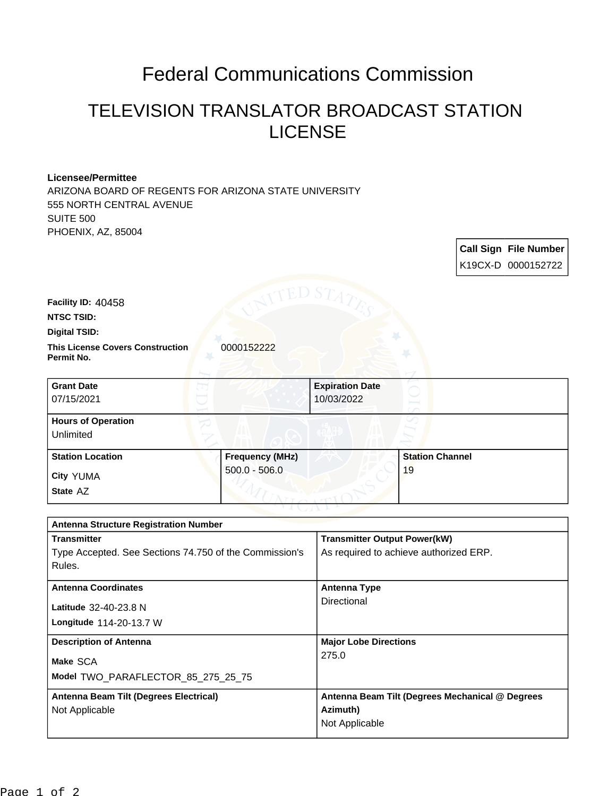## Federal Communications Commission

## TELEVISION TRANSLATOR BROADCAST STATION LICENSE

**Call Sign File Number**

## **Licensee/Permittee**

**State** AZ

ARIZONA BOARD OF REGENTS FOR ARIZONA STATE UNIVERSITY 555 NORTH CENTRAL AVENUE SUITE 500 PHOENIX, AZ, 85004

K19CX-D 0000152722 **This License Covers Construction**  0000152222 **Permit No. Digital TSID: NTSC TSID: Facility ID:** 40458 **City** YUMA **Grant Date** 07/15/2021 **Expiration Date** 10/03/2022 **Hours of Operation** Unlimited **Station Location Frequency (MHz)** 500.0 - 506.0 **Station Channel** 19

| <b>Antenna Structure Registration Number</b>           |                                                 |  |
|--------------------------------------------------------|-------------------------------------------------|--|
| <b>Transmitter</b>                                     | <b>Transmitter Output Power(kW)</b>             |  |
| Type Accepted. See Sections 74.750 of the Commission's | As required to achieve authorized ERP.          |  |
| Rules.                                                 |                                                 |  |
| <b>Antenna Coordinates</b>                             | Antenna Type                                    |  |
| Latitude 32-40-23.8 N                                  | Directional                                     |  |
|                                                        |                                                 |  |
| <b>Longitude 114-20-13.7 W</b>                         |                                                 |  |
| <b>Description of Antenna</b>                          | <b>Major Lobe Directions</b>                    |  |
| Make SCA                                               | 275.0                                           |  |
|                                                        |                                                 |  |
| Model TWO PARAFLECTOR 85 275 25 75                     |                                                 |  |
| Antenna Beam Tilt (Degrees Electrical)                 | Antenna Beam Tilt (Degrees Mechanical @ Degrees |  |
| Not Applicable                                         | Azimuth)                                        |  |
|                                                        | Not Applicable                                  |  |
|                                                        |                                                 |  |